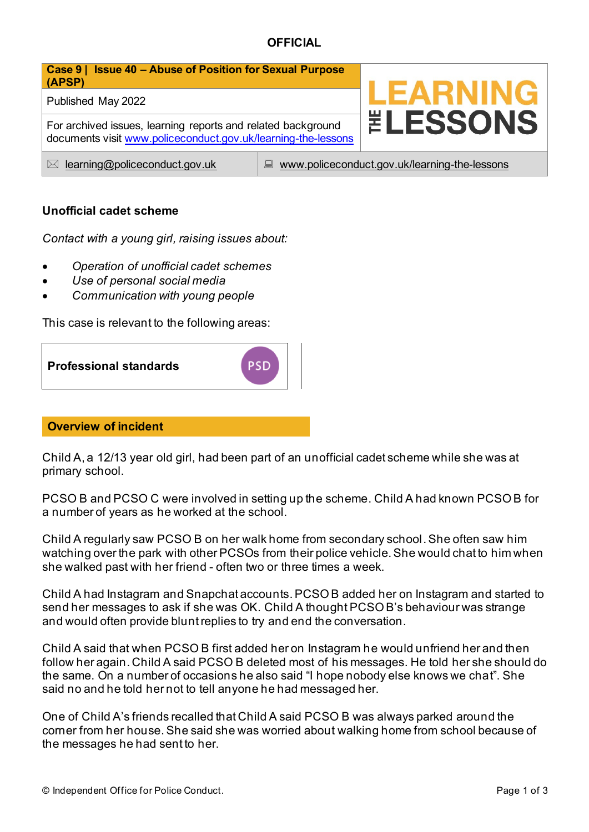

## **Unofficial cadet scheme**

*Contact with a young girl, raising issues about:* 

- *Operation of unofficial cadet schemes*
- *Use of personal social media*
- *Communication with young people*

This case is relevant to the following areas:

**Professional standards**

#### **Overview of incident**

Child A, a 12/13 year old girl, had been part of an unofficial cadet scheme while she was at primary school.

**PSD** 

PCSO B and PCSO C were involved in setting up the scheme. Child A had known PCSO B for a number of years as he worked at the school.

Child A regularly saw PCSO B on her walk home from secondary school. She often saw him watching over the park with other PCSOs from their police vehicle. She would chat to him when she walked past with her friend - often two or three times a week.

Child A had Instagram and Snapchat accounts. PCSO B added her on Instagram and started to send her messages to ask if she was OK. Child A thought PCSO B's behaviour was strange and would often provide blunt replies to try and end the conversation.

Child A said that when PCSO B first added her on Instagram he would unfriend her and then follow her again. Child A said PCSO B deleted most of his messages. He told her she should do the same. On a number of occasions he also said "I hope nobody else knows we chat". She said no and he told her not to tell anyone he had messaged her.

One of Child A's friends recalled that Child A said PCSO B was always parked around the corner from her house. She said she was worried about walking home from school because of the messages he had sent to her.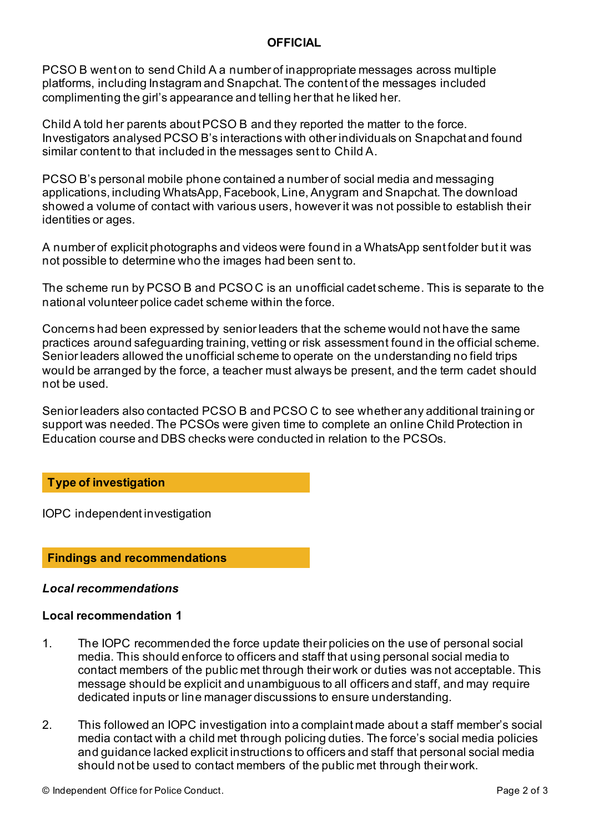PCSO B went on to send Child A a number of inappropriate messages across multiple platforms, including Instagram and Snapchat. The content of the messages included complimenting the girl's appearance and telling her that he liked her.

Child A told her parents about PCSO B and they reported the matter to the force. Investigators analysed PCSO B's interactions with other individuals on Snapchat and found similar content to that included in the messages sent to Child A.

PCSO B's personal mobile phone contained a number of social media and messaging applications, including WhatsApp, Facebook, Line, Anygram and Snapchat. The download showed a volume of contact with various users, however it was not possible to establish their identities or ages.

A number of explicit photographs and videos were found in a WhatsApp sent folder but it was not possible to determine who the images had been sent to.

The scheme run by PCSO B and PCSO C is an unofficial cadet scheme. This is separate to the national volunteer police cadet scheme within the force.

Concerns had been expressed by senior leaders that the scheme would not have the same practices around safeguarding training, vetting or risk assessment found in the official scheme. Senior leaders allowed the unofficial scheme to operate on the understanding no field trips would be arranged by the force, a teacher must always be present, and the term cadet should not be used.

Senior leaders also contacted PCSO B and PCSO C to see whether any additional training or support was needed. The PCSOs were given time to complete an online Child Protection in Education course and DBS checks were conducted in relation to the PCSOs.

# **Type of investigation**

IOPC independent investigation

**Findings and recommendations**

## *Local recommendations*

## **Local recommendation 1**

- 1. The IOPC recommended the force update their policies on the use of personal social media. This should enforce to officers and staff that using personal social media to contact members of the public met through their work or duties was not acceptable. This message should be explicit and unambiguous to all officers and staff, and may require dedicated inputs or line manager discussions to ensure understanding.
- 2. This followed an IOPC investigation into a complaint made about a staff member's social media contact with a child met through policing duties. The force's social media policies and guidance lacked explicit instructions to officers and staff that personal social media should not be used to contact members of the public met through their work.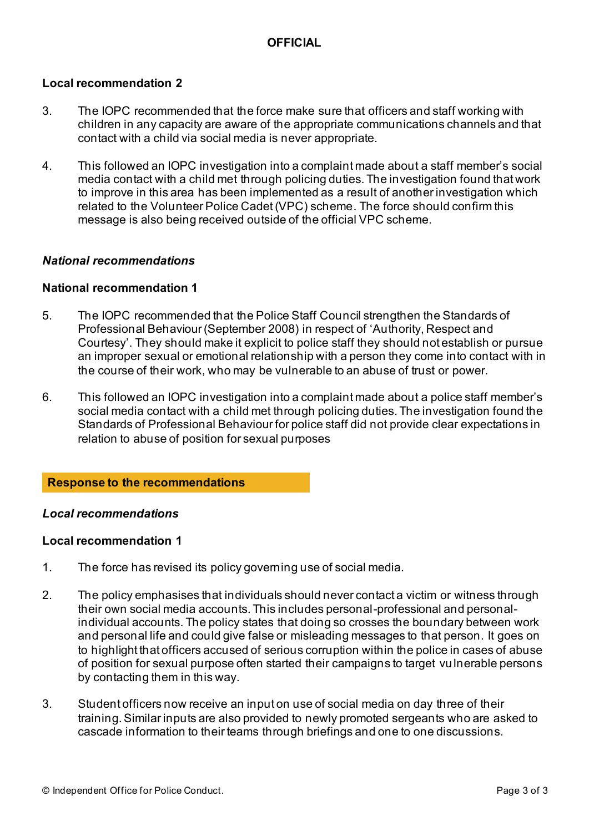### **Local recommendation 2**

- 3. The IOPC recommended that the force make sure that officers and staff working with children in any capacity are aware of the appropriate communications channels and that contact with a child via social media is never appropriate.
- 4. This followed an IOPC investigation into a complaint made about a staff member's social media contact with a child met through policing duties. The investigation found that work to improve in this area has been implemented as a result of another investigation which related to the Volunteer Police Cadet (VPC) scheme. The force should confirm this message is also being received outside of the official VPC scheme.

### *National recommendations*

### **National recommendation 1**

- 5. The IOPC recommended that the Police Staff Council strengthen the Standards of Professional Behaviour (September 2008) in respect of 'Authority, Respect and Courtesy'. They should make it explicit to police staff they should not establish or pursue an improper sexual or emotional relationship with a person they come into contact with in the course of their work, who may be vulnerable to an abuse of trust or power.
- 6. This followed an IOPC investigation into a complaint made about a police staff member's social media contact with a child met through policing duties. The investigation found the Standards of Professional Behaviour for police staff did not provide clear expectations in relation to abuse of position for sexual purposes

#### **Response to the recommendations**

#### *Local recommendations*

#### **Local recommendation 1**

- 1. The force has revised its policy governing use of social media.
- 2. The policy emphasises that individuals should never contact a victim or witness through their own social media accounts. This includes personal-professional and personalindividual accounts. The policy states that doing so crosses the boundary between work and personal life and could give false or misleading messages to that person. It goes on to highlight that officers accused of serious corruption within the police in cases of abuse of position for sexual purpose often started their campaigns to target vu lnerable persons by contacting them in this way.
- 3. Student officers now receive an input on use of social media on day three of their training. Similar inputs are also provided to newly promoted sergeants who are asked to cascade information to their teams through briefings and one to one discussions.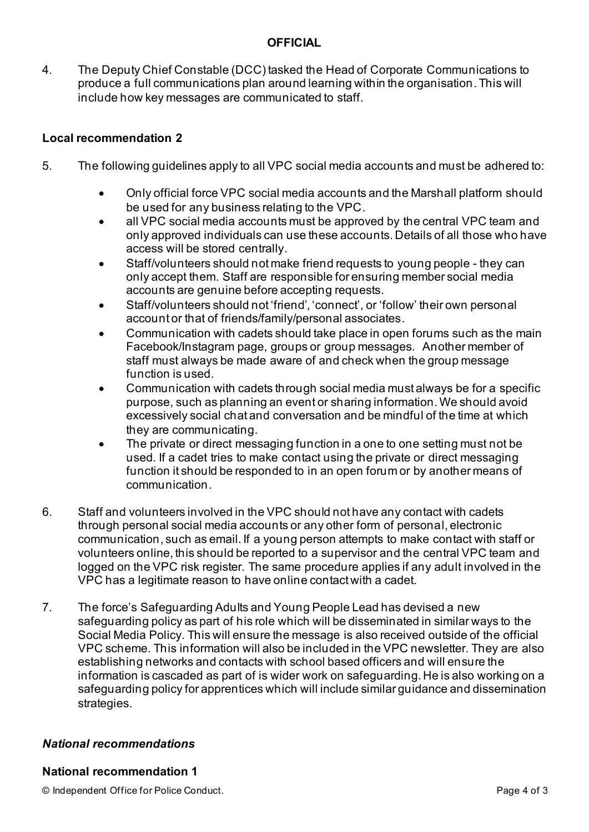4. The Deputy Chief Constable (DCC) tasked the Head of Corporate Communications to produce a full communications plan around learning within the organisation. This will include how key messages are communicated to staff.

# **Local recommendation 2**

- 5. The following guidelines apply to all VPC social media accounts and must be adhered to:
	- Only official force VPC social media accounts and the Marshall platform should be used for any business relating to the VPC.
	- all VPC social media accounts must be approved by the central VPC team and only approved individuals can use these accounts. Details of all those who have access will be stored centrally.
	- Staff/volunteers should not make friend requests to young people they can only accept them. Staff are responsible for ensuring member social media accounts are genuine before accepting requests.
	- Staff/volunteers should not 'friend', 'connect', or 'follow' their own personal account or that of friends/family/personal associates.
	- Communication with cadets should take place in open forums such as the main Facebook/Instagram page, groups or group messages. Another member of staff must always be made aware of and check when the group message function is used.
	- Communication with cadets through social media must always be for a specific purpose, such as planning an event or sharing information. We should avoid excessively social chat and conversation and be mindful of the time at which they are communicating.
	- The private or direct messaging function in a one to one setting must not be used. If a cadet tries to make contact using the private or direct messaging function it should be responded to in an open forum or by another means of communication.
- 6. Staff and volunteers involved in the VPC should not have any contact with cadets through personal social media accounts or any other form of personal, electronic communication, such as email. If a young person attempts to make contact with staff or volunteers online, this should be reported to a supervisor and the central VPC team and logged on the VPC risk register. The same procedure applies if any adult involved in the VPC has a legitimate reason to have online contact with a cadet.
- 7. The force's Safeguarding Adults and Young People Lead has devised a new safeguarding policy as part of his role which will be disseminated in similar ways to the Social Media Policy. This will ensure the message is also received outside of the official VPC scheme. This information will also be included in the VPC newsletter. They are also establishing networks and contacts with school based officers and will ensure the information is cascaded as part of is wider work on safeguarding. He is also working on a safeguarding policy for apprentices which will include similar guidance and dissemination strategies.

# *National recommendations*

# **National recommendation 1**

© Independent Office for Police Conduct. Page 4 of 3